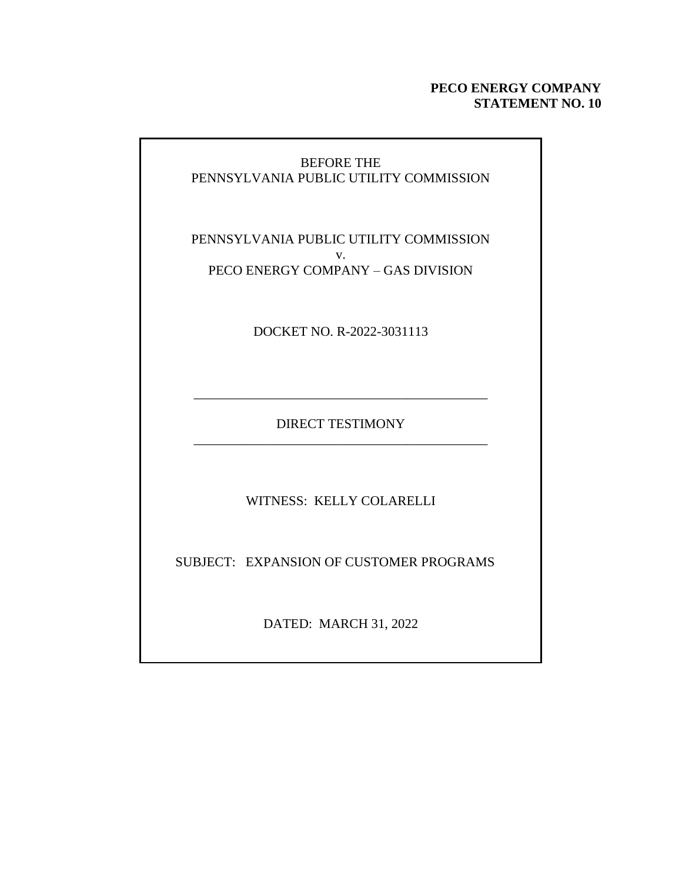#### **PECO ENERGY COMPANY STATEMENT NO. 10**

#### BEFORE THE PENNSYLVANIA PUBLIC UTILITY COMMISSION

PENNSYLVANIA PUBLIC UTILITY COMMISSION v. PECO ENERGY COMPANY – GAS DIVISION

DOCKET NO. R-2022-3031113

DIRECT TESTIMONY \_\_\_\_\_\_\_\_\_\_\_\_\_\_\_\_\_\_\_\_\_\_\_\_\_\_\_\_\_\_\_\_\_\_\_\_\_\_\_\_\_\_\_\_

\_\_\_\_\_\_\_\_\_\_\_\_\_\_\_\_\_\_\_\_\_\_\_\_\_\_\_\_\_\_\_\_\_\_\_\_\_\_\_\_\_\_\_\_

WITNESS: KELLY COLARELLI

SUBJECT: EXPANSION OF CUSTOMER PROGRAMS

DATED: MARCH 31, 2022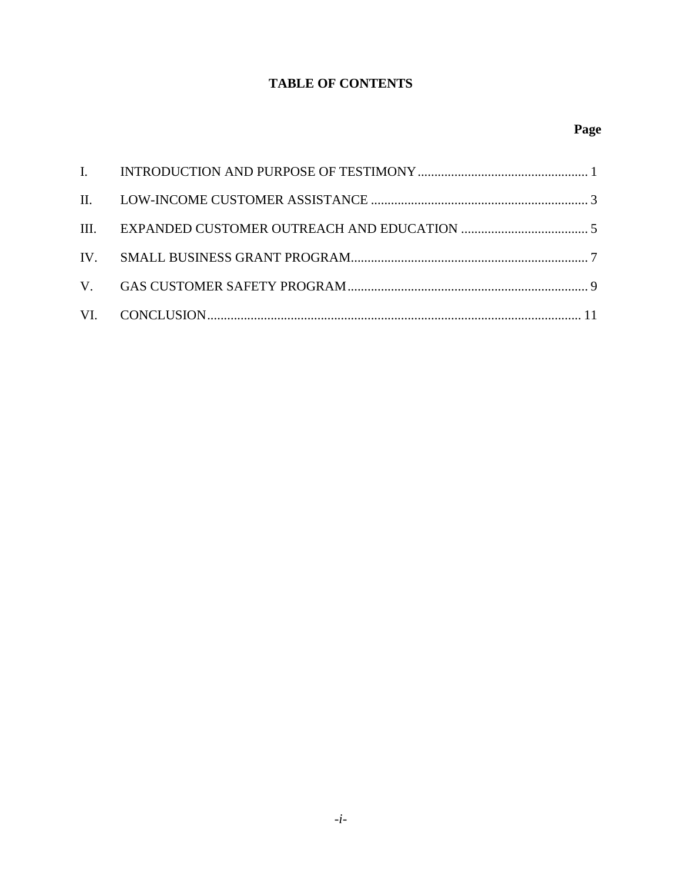### **TABLE OF CONTENTS**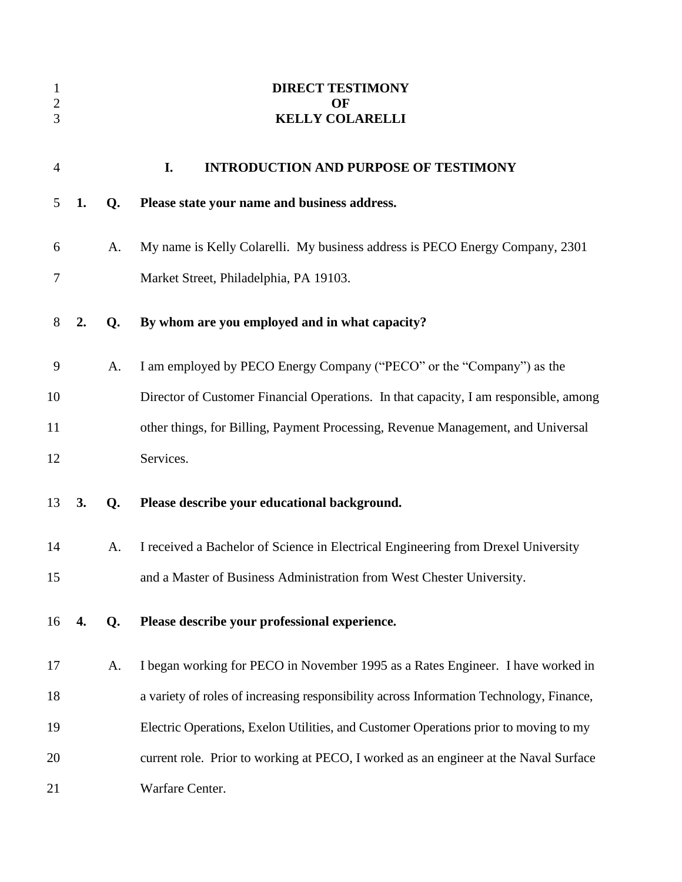<span id="page-2-0"></span>

| $\mathbf{1}$<br>$\overline{c}$<br>3 |    |    | <b>DIRECT TESTIMONY</b><br>OF<br><b>KELLY COLARELLI</b>                                 |
|-------------------------------------|----|----|-----------------------------------------------------------------------------------------|
| $\overline{4}$                      |    |    | I.<br><b>INTRODUCTION AND PURPOSE OF TESTIMONY</b>                                      |
| 5                                   | 1. | Q. | Please state your name and business address.                                            |
| 6                                   |    | A. | My name is Kelly Colarelli. My business address is PECO Energy Company, 2301            |
| 7                                   |    |    | Market Street, Philadelphia, PA 19103.                                                  |
| 8                                   | 2. | Q. | By whom are you employed and in what capacity?                                          |
| 9                                   |    | A. | I am employed by PECO Energy Company ("PECO" or the "Company") as the                   |
| 10                                  |    |    | Director of Customer Financial Operations. In that capacity, I am responsible, among    |
| 11                                  |    |    | other things, for Billing, Payment Processing, Revenue Management, and Universal        |
| 12                                  |    |    | Services.                                                                               |
| 13                                  | 3. | Q. | Please describe your educational background.                                            |
| 14                                  |    | A. | I received a Bachelor of Science in Electrical Engineering from Drexel University       |
| 15                                  |    |    | and a Master of Business Administration from West Chester University.                   |
| 16                                  | 4. | Q. | Please describe your professional experience.                                           |
| 17                                  |    | A. | I began working for PECO in November 1995 as a Rates Engineer. I have worked in         |
| 18                                  |    |    | a variety of roles of increasing responsibility across Information Technology, Finance, |
| 19                                  |    |    | Electric Operations, Exelon Utilities, and Customer Operations prior to moving to my    |
| 20                                  |    |    | current role. Prior to working at PECO, I worked as an engineer at the Naval Surface    |
| 21                                  |    |    | Warfare Center.                                                                         |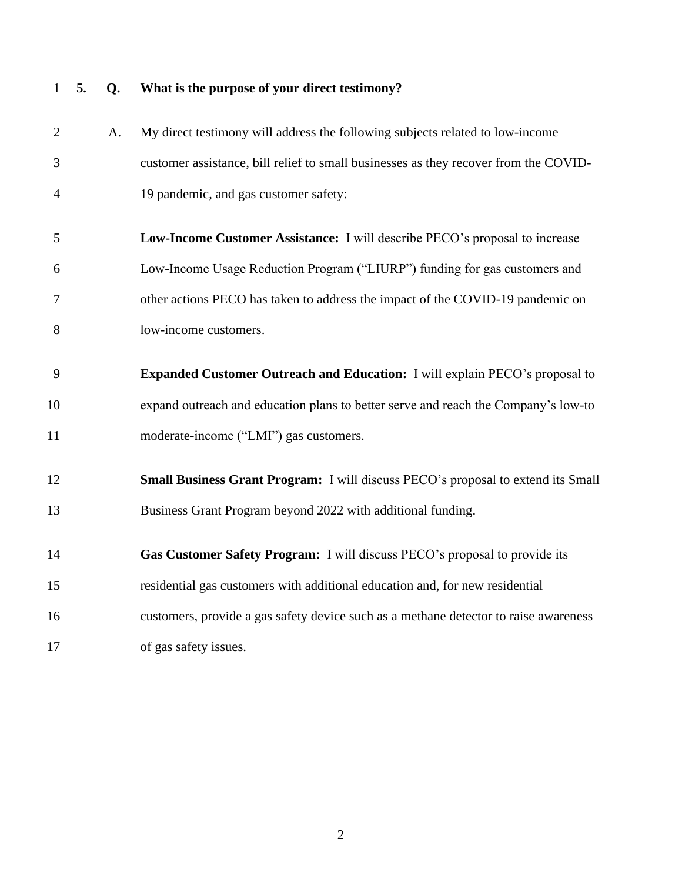|                |    | what is the purpose or your uncer resumor                                            |
|----------------|----|--------------------------------------------------------------------------------------|
| 2              | A. | My direct testimony will address the following subjects related to low-income        |
| 3              |    | customer assistance, bill relief to small businesses as they recover from the COVID- |
| $\overline{4}$ |    | 19 pandemic, and gas customer safety:                                                |
| 5              |    | Low-Income Customer Assistance: I will describe PECO's proposal to increase          |
| 6              |    | Low-Income Usage Reduction Program ("LIURP") funding for gas customers and           |
| 7              |    | other actions PECO has taken to address the impact of the COVID-19 pandemic on       |
| 8              |    | low-income customers.                                                                |
| 9              |    | <b>Expanded Customer Outreach and Education:</b> I will explain PECO's proposal to   |
| 10             |    | expand outreach and education plans to better serve and reach the Company's low-to   |
| 11             |    | moderate-income ("LMI") gas customers.                                               |
| 12             |    | Small Business Grant Program: I will discuss PECO's proposal to extend its Small     |
| 13             |    | Business Grant Program beyond 2022 with additional funding.                          |
| 14             |    | Gas Customer Safety Program: I will discuss PECO's proposal to provide its           |
| 15             |    | residential gas customers with additional education and, for new residential         |
| 16             |    | customers, provide a gas safety device such as a methane detector to raise awareness |
| 17             |    | of gas safety issues.                                                                |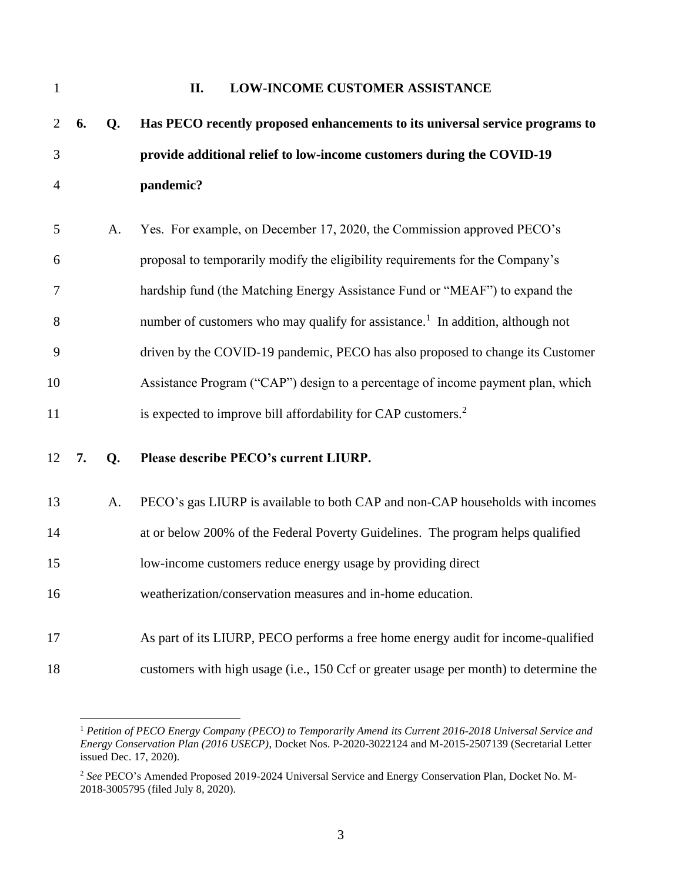<span id="page-4-0"></span>

| $\mathbf{1}$ |    |    | <b>LOW-INCOME CUSTOMER ASSISTANCE</b><br>II.                                               |
|--------------|----|----|--------------------------------------------------------------------------------------------|
| 2            | 6. | Q. | Has PECO recently proposed enhancements to its universal service programs to               |
| 3            |    |    | provide additional relief to low-income customers during the COVID-19                      |
| 4            |    |    | pandemic?                                                                                  |
| 5            |    | A. | Yes. For example, on December 17, 2020, the Commission approved PECO's                     |
| 6            |    |    | proposal to temporarily modify the eligibility requirements for the Company's              |
| 7            |    |    | hardship fund (the Matching Energy Assistance Fund or "MEAF") to expand the                |
| 8            |    |    | number of customers who may qualify for assistance. <sup>1</sup> In addition, although not |
| 9            |    |    | driven by the COVID-19 pandemic, PECO has also proposed to change its Customer             |
| 10           |    |    | Assistance Program ("CAP") design to a percentage of income payment plan, which            |
| 11           |    |    | is expected to improve bill affordability for CAP customers. <sup>2</sup>                  |
| 12           | 7. | Q. | Please describe PECO's current LIURP.                                                      |
| 13           |    | A. | PECO's gas LIURP is available to both CAP and non-CAP households with incomes              |
| 14           |    |    | at or below 200% of the Federal Poverty Guidelines. The program helps qualified            |
| 15           |    |    | low-income customers reduce energy usage by providing direct                               |
| 16           |    |    | weatherization/conservation measures and in-home education.                                |
| 17           |    |    | As part of its LIURP, PECO performs a free home energy audit for income-qualified          |
| 18           |    |    | customers with high usage (i.e., 150 Ccf or greater usage per month) to determine the      |

 *Petition of PECO Energy Company (PECO) to Temporarily Amend its Current 2016-2018 Universal Service and Energy Conservation Plan (2016 USECP)*, Docket Nos. P-2020-3022124 and M-2015-2507139 (Secretarial Letter issued Dec. 17, 2020).

 *See* PECO's Amended Proposed 2019-2024 Universal Service and Energy Conservation Plan, Docket No. M-2018-3005795 (filed July 8, 2020).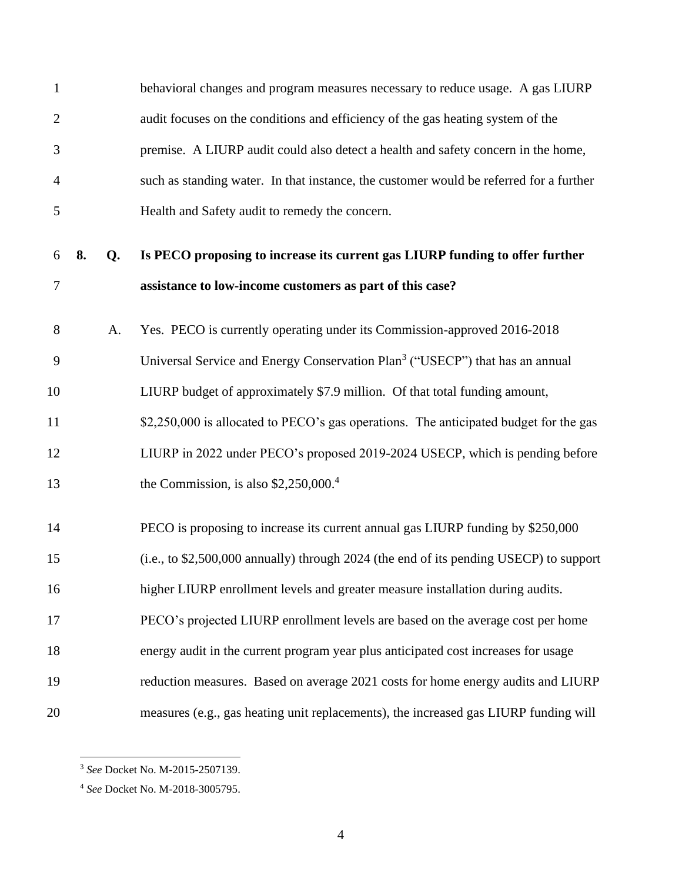| $\mathbf{1}$   |    |    | behavioral changes and program measures necessary to reduce usage. A gas LIURP           |
|----------------|----|----|------------------------------------------------------------------------------------------|
| $\overline{2}$ |    |    | audit focuses on the conditions and efficiency of the gas heating system of the          |
| 3              |    |    | premise. A LIURP audit could also detect a health and safety concern in the home,        |
| $\overline{4}$ |    |    | such as standing water. In that instance, the customer would be referred for a further   |
| 5              |    |    | Health and Safety audit to remedy the concern.                                           |
| 6              | 8. | Q. | Is PECO proposing to increase its current gas LIURP funding to offer further             |
| 7              |    |    | assistance to low-income customers as part of this case?                                 |
| 8              |    | A. | Yes. PECO is currently operating under its Commission-approved 2016-2018                 |
| 9              |    |    | Universal Service and Energy Conservation Plan <sup>3</sup> ("USECP") that has an annual |
| 10             |    |    | LIURP budget of approximately \$7.9 million. Of that total funding amount,               |
| 11             |    |    | \$2,250,000 is allocated to PECO's gas operations. The anticipated budget for the gas    |
| 12             |    |    | LIURP in 2022 under PECO's proposed 2019-2024 USECP, which is pending before             |
| 13             |    |    | the Commission, is also $$2,250,000.4$                                                   |
| 14             |    |    | PECO is proposing to increase its current annual gas LIURP funding by \$250,000          |
| 15             |    |    | (i.e., to \$2,500,000 annually) through 2024 (the end of its pending USECP) to support   |
| 16             |    |    | higher LIURP enrollment levels and greater measure installation during audits.           |
| 17             |    |    | PECO's projected LIURP enrollment levels are based on the average cost per home          |
| 18             |    |    | energy audit in the current program year plus anticipated cost increases for usage       |
| 19             |    |    | reduction measures. Based on average 2021 costs for home energy audits and LIURP         |
| 20             |    |    | measures (e.g., gas heating unit replacements), the increased gas LIURP funding will     |

*See* Docket No. M-2015-2507139.

*See* Docket No. M-2018-3005795.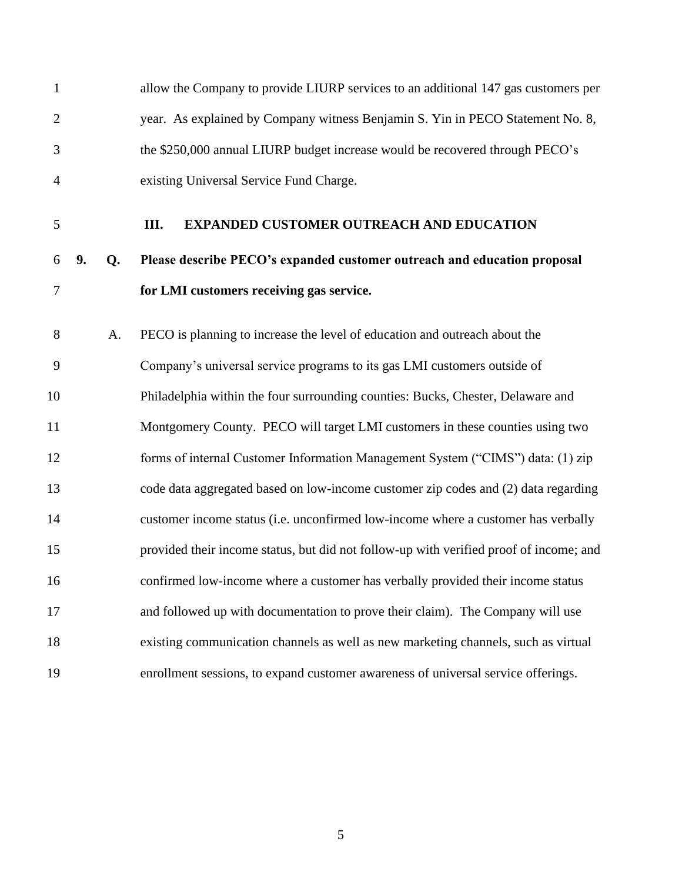<span id="page-6-0"></span>

| $\mathbf{1}$   |    |    | allow the Company to provide LIURP services to an additional 147 gas customers per     |
|----------------|----|----|----------------------------------------------------------------------------------------|
| $\overline{2}$ |    |    | year. As explained by Company witness Benjamin S. Yin in PECO Statement No. 8,         |
| 3              |    |    | the \$250,000 annual LIURP budget increase would be recovered through PECO's           |
| $\overline{4}$ |    |    | existing Universal Service Fund Charge.                                                |
| 5              |    |    | <b>EXPANDED CUSTOMER OUTREACH AND EDUCATION</b><br>Ш.                                  |
| 6              | 9. | Q. | Please describe PECO's expanded customer outreach and education proposal               |
| 7              |    |    | for LMI customers receiving gas service.                                               |
| 8              |    | A. | PECO is planning to increase the level of education and outreach about the             |
| 9              |    |    | Company's universal service programs to its gas LMI customers outside of               |
| 10             |    |    | Philadelphia within the four surrounding counties: Bucks, Chester, Delaware and        |
| 11             |    |    | Montgomery County. PECO will target LMI customers in these counties using two          |
| 12             |    |    | forms of internal Customer Information Management System ("CIMS") data: (1) zip        |
| 13             |    |    | code data aggregated based on low-income customer zip codes and (2) data regarding     |
| 14             |    |    | customer income status (i.e. unconfirmed low-income where a customer has verbally      |
| 15             |    |    | provided their income status, but did not follow-up with verified proof of income; and |
| 16             |    |    | confirmed low-income where a customer has verbally provided their income status        |
| 17             |    |    | and followed up with documentation to prove their claim). The Company will use         |
| 18             |    |    | existing communication channels as well as new marketing channels, such as virtual     |
| 19             |    |    | enrollment sessions, to expand customer awareness of universal service offerings.      |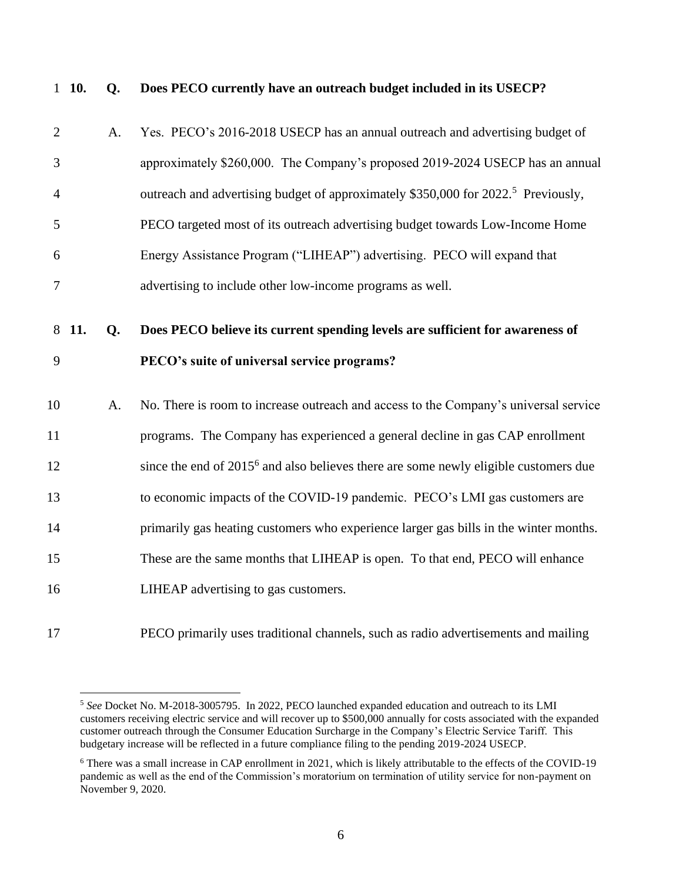|                | $1\;\;10.$ | Q.             | Does PECO currently have an outreach budget included in its USECP?                            |
|----------------|------------|----------------|-----------------------------------------------------------------------------------------------|
| $\overline{2}$ |            | A.             | Yes. PECO's 2016-2018 USECP has an annual outreach and advertising budget of                  |
| 3              |            |                | approximately \$260,000. The Company's proposed 2019-2024 USECP has an annual                 |
| $\overline{4}$ |            |                | outreach and advertising budget of approximately \$350,000 for 2022. <sup>5</sup> Previously, |
| 5              |            |                | PECO targeted most of its outreach advertising budget towards Low-Income Home                 |
| 6              |            |                | Energy Assistance Program ("LIHEAP") advertising. PECO will expand that                       |
| $\tau$         |            |                | advertising to include other low-income programs as well.                                     |
|                | 8 11.      | Q <sub>r</sub> | Does PECO believe its current spending levels are sufficient for awareness of                 |
| 9              |            |                | PECO's suite of universal service programs?                                                   |
|                |            |                |                                                                                               |
| 10             |            | A.             | No. There is room to increase outreach and access to the Company's universal service          |
| 11             |            |                | programs. The Company has experienced a general decline in gas CAP enrollment                 |
| 12             |            |                | since the end of $20156$ and also believes there are some newly eligible customers due        |
| 13             |            |                | to economic impacts of the COVID-19 pandemic. PECO's LMI gas customers are                    |
| 14             |            |                | primarily gas heating customers who experience larger gas bills in the winter months.         |
| 15             |            |                | These are the same months that LIHEAP is open. To that end, PECO will enhance                 |
| 16             |            |                | LIHEAP advertising to gas customers.                                                          |

PECO primarily uses traditional channels, such as radio advertisements and mailing

 *See* Docket No. M-2018-3005795. In 2022, PECO launched expanded education and outreach to its LMI customers receiving electric service and will recover up to \$500,000 annually for costs associated with the expanded customer outreach through the Consumer Education Surcharge in the Company's Electric Service Tariff. This budgetary increase will be reflected in a future compliance filing to the pending 2019-2024 USECP.

 There was a small increase in CAP enrollment in 2021, which is likely attributable to the effects of the COVID-19 pandemic as well as the end of the Commission's moratorium on termination of utility service for non-payment on November 9, 2020.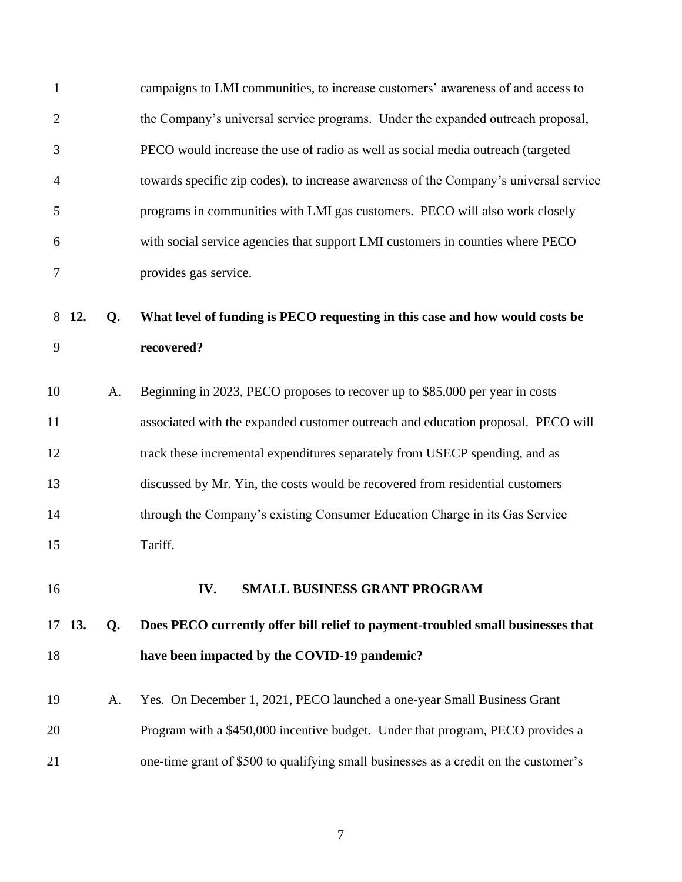<span id="page-8-0"></span>

| 1              |     |    | campaigns to LMI communities, to increase customers' awareness of and access to       |
|----------------|-----|----|---------------------------------------------------------------------------------------|
| $\overline{2}$ |     |    | the Company's universal service programs. Under the expanded outreach proposal,       |
| 3              |     |    | PECO would increase the use of radio as well as social media outreach (targeted       |
| 4              |     |    | towards specific zip codes), to increase awareness of the Company's universal service |
| 5              |     |    | programs in communities with LMI gas customers. PECO will also work closely           |
| 6              |     |    | with social service agencies that support LMI customers in counties where PECO        |
| 7              |     |    | provides gas service.                                                                 |
| 8              | 12. | Q. | What level of funding is PECO requesting in this case and how would costs be          |
| 9              |     |    | recovered?                                                                            |
|                |     |    |                                                                                       |
| 10             |     | A. | Beginning in 2023, PECO proposes to recover up to \$85,000 per year in costs          |
| 11             |     |    | associated with the expanded customer outreach and education proposal. PECO will      |
| 12             |     |    | track these incremental expenditures separately from USECP spending, and as           |
| 13             |     |    | discussed by Mr. Yin, the costs would be recovered from residential customers         |
| 14             |     |    | through the Company's existing Consumer Education Charge in its Gas Service           |
| 15             |     |    | Tariff.                                                                               |
| 16             |     |    | IV.<br><b>SMALL BUSINESS GRANT PROGRAM</b>                                            |
|                |     |    |                                                                                       |
| 17             | 13. | Q. | Does PECO currently offer bill relief to payment-troubled small businesses that       |
| 18             |     |    | have been impacted by the COVID-19 pandemic?                                          |
| 19             |     | A. | Yes. On December 1, 2021, PECO launched a one-year Small Business Grant               |
| 20             |     |    | Program with a \$450,000 incentive budget. Under that program, PECO provides a        |
| 21             |     |    | one-time grant of \$500 to qualifying small businesses as a credit on the customer's  |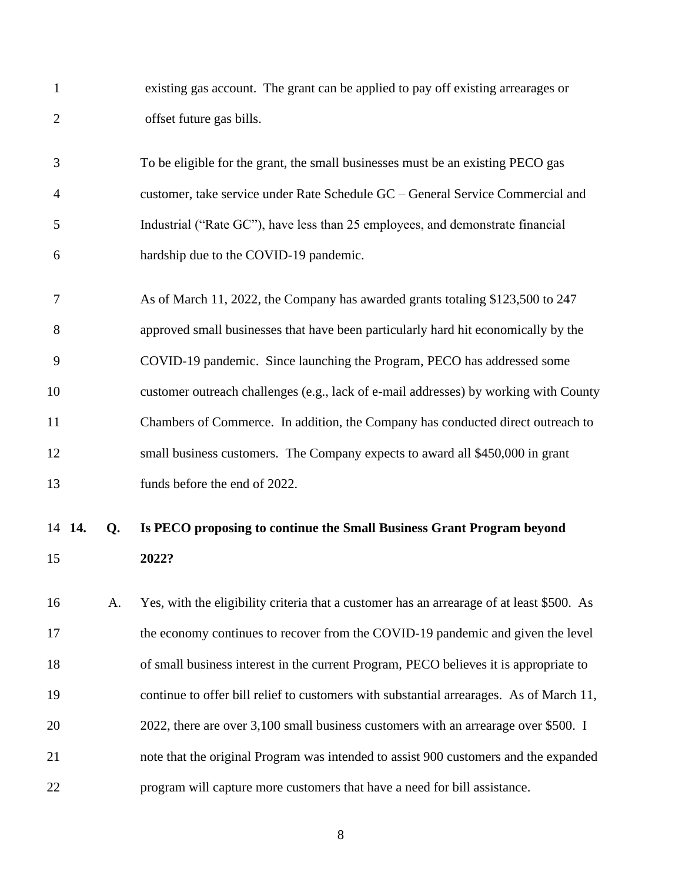| $\mathbf{1}$   |        |    | existing gas account. The grant can be applied to pay off existing arrearages or          |
|----------------|--------|----|-------------------------------------------------------------------------------------------|
| $\overline{2}$ |        |    | offset future gas bills.                                                                  |
| 3              |        |    | To be eligible for the grant, the small businesses must be an existing PECO gas           |
| 4              |        |    | customer, take service under Rate Schedule GC – General Service Commercial and            |
| 5              |        |    | Industrial ("Rate GC"), have less than 25 employees, and demonstrate financial            |
| 6              |        |    | hardship due to the COVID-19 pandemic.                                                    |
| 7              |        |    | As of March 11, 2022, the Company has awarded grants totaling \$123,500 to 247            |
| 8              |        |    | approved small businesses that have been particularly hard hit economically by the        |
| 9              |        |    | COVID-19 pandemic. Since launching the Program, PECO has addressed some                   |
| 10             |        |    | customer outreach challenges (e.g., lack of e-mail addresses) by working with County      |
| 11             |        |    | Chambers of Commerce. In addition, the Company has conducted direct outreach to           |
| 12             |        |    | small business customers. The Company expects to award all \$450,000 in grant             |
| 13             |        |    | funds before the end of 2022.                                                             |
|                | 14 14. | Q. | Is PECO proposing to continue the Small Business Grant Program beyond                     |
| 15             |        |    | 2022?                                                                                     |
| 16             |        | A. | Yes, with the eligibility criteria that a customer has an arrearage of at least \$500. As |
| 17             |        |    | the economy continues to recover from the COVID-19 pandemic and given the level           |
| 18             |        |    | of small business interest in the current Program, PECO believes it is appropriate to     |
| 19             |        |    | continue to offer bill relief to customers with substantial arrearages. As of March 11,   |
| 20             |        |    | 2022, there are over 3,100 small business customers with an arrearage over \$500. I       |
| 21             |        |    | note that the original Program was intended to assist 900 customers and the expanded      |
| 22             |        |    | program will capture more customers that have a need for bill assistance.                 |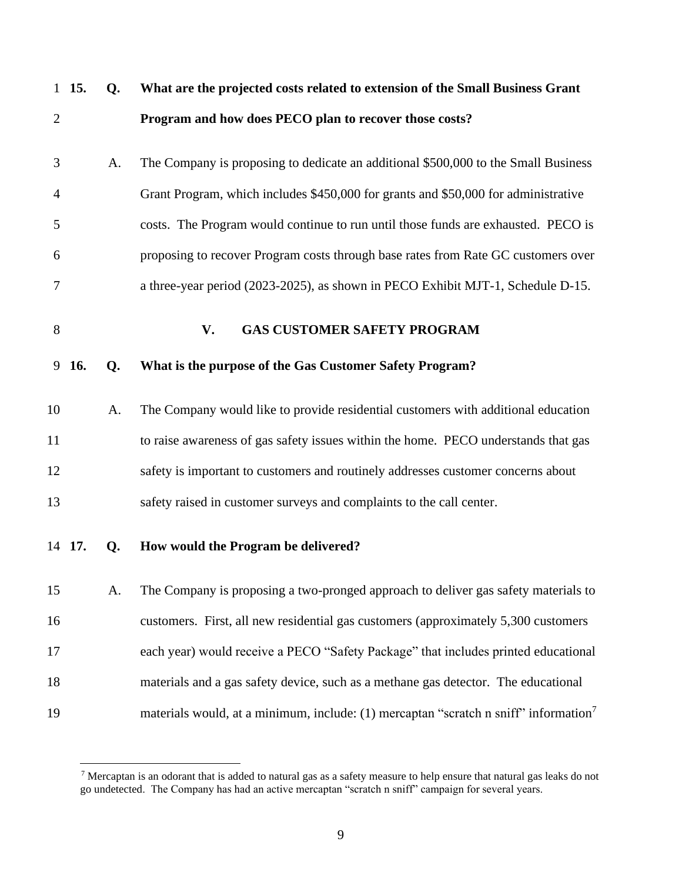<span id="page-10-0"></span>

|                | $1\;\; 15.$ | Q. | What are the projected costs related to extension of the Small Business Grant                    |
|----------------|-------------|----|--------------------------------------------------------------------------------------------------|
| $\overline{2}$ |             |    | Program and how does PECO plan to recover those costs?                                           |
| 3              |             | A. | The Company is proposing to dedicate an additional \$500,000 to the Small Business               |
| 4              |             |    | Grant Program, which includes \$450,000 for grants and \$50,000 for administrative               |
| 5              |             |    | costs. The Program would continue to run until those funds are exhausted. PECO is                |
| 6              |             |    | proposing to recover Program costs through base rates from Rate GC customers over                |
| 7              |             |    | a three-year period (2023-2025), as shown in PECO Exhibit MJT-1, Schedule D-15.                  |
| 8              |             |    | <b>GAS CUSTOMER SAFETY PROGRAM</b><br>V.                                                         |
|                | 9 16.       | Q. | What is the purpose of the Gas Customer Safety Program?                                          |
| 10             |             | A. | The Company would like to provide residential customers with additional education                |
| 11             |             |    | to raise awareness of gas safety issues within the home. PECO understands that gas               |
| 12             |             |    | safety is important to customers and routinely addresses customer concerns about                 |
| 13             |             |    | safety raised in customer surveys and complaints to the call center.                             |
|                | 14 17.      | Q. | How would the Program be delivered?                                                              |
| 15             |             | A. | The Company is proposing a two-pronged approach to deliver gas safety materials to               |
| 16             |             |    | customers. First, all new residential gas customers (approximately 5,300 customers               |
| 17             |             |    | each year) would receive a PECO "Safety Package" that includes printed educational               |
| 18             |             |    | materials and a gas safety device, such as a methane gas detector. The educational               |
| 19             |             |    | materials would, at a minimum, include: (1) mercaptan "scratch n sniff" information <sup>7</sup> |

 $^7$  Mercaptan is an odorant that is added to natural gas as a safety measure to help ensure that natural gas leaks do not go undetected. The Company has had an active mercaptan "scratch n sniff" campaign for several years.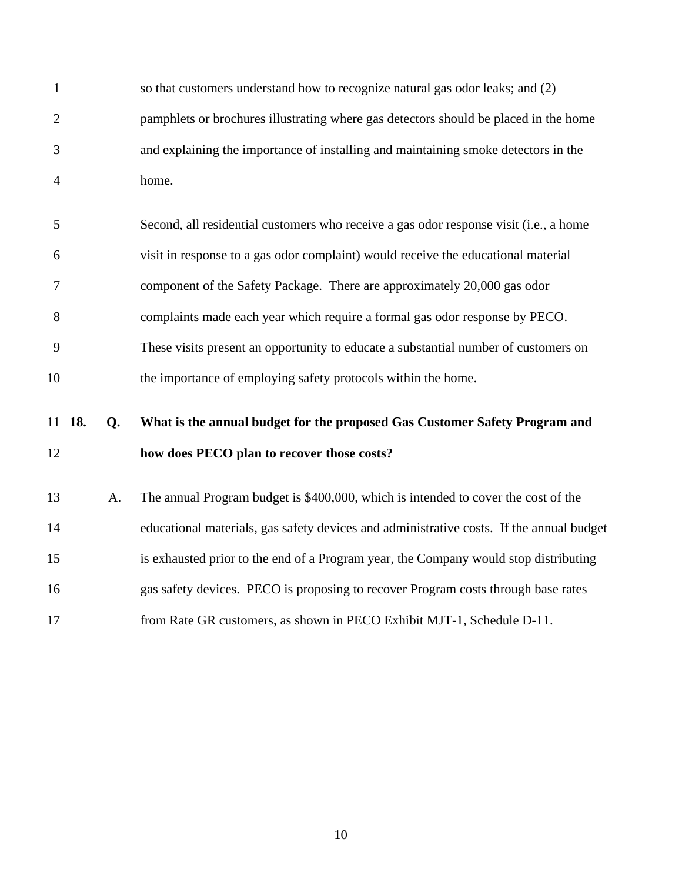|                | so that customers understand how to recognize natural gas odor leaks; and (2)        |
|----------------|--------------------------------------------------------------------------------------|
| 2              | pamphlets or brochures illustrating where gas detectors should be placed in the home |
| 3              | and explaining the importance of installing and maintaining smoke detectors in the   |
| $\overline{4}$ | home.                                                                                |

|    | Second, all residential customers who receive a gas odor response visit (i.e., a home |
|----|---------------------------------------------------------------------------------------|
| 6  | visit in response to a gas odor complaint) would receive the educational material     |
|    | component of the Safety Package. There are approximately 20,000 gas odor              |
| 8  | complaints made each year which require a formal gas odor response by PECO.           |
| 9  | These visits present an opportunity to educate a substantial number of customers on   |
| 10 | the importance of employing safety protocols within the home.                         |

## **18. Q. What is the annual budget for the proposed Gas Customer Safety Program and how does PECO plan to recover those costs?**

<span id="page-11-0"></span> A. The annual Program budget is \$400,000, which is intended to cover the cost of the educational materials, gas safety devices and administrative costs. If the annual budget is exhausted prior to the end of a Program year, the Company would stop distributing gas safety devices. PECO is proposing to recover Program costs through base rates from Rate GR customers, as shown in PECO Exhibit MJT-1, Schedule D-11.